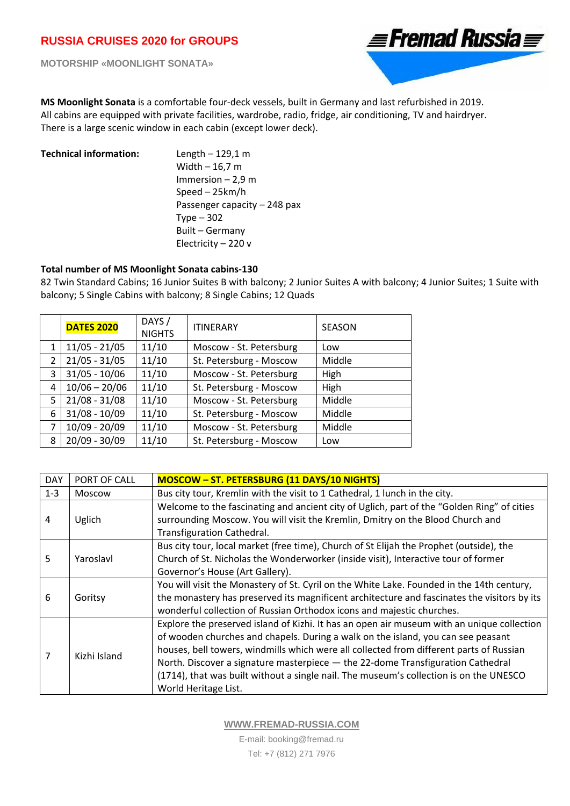**MOTORSHIP «MOONLIGHT SONATA»** 



**MS Moonlight Sonata** is a comfortable four‐deck vessels, built in Germany and last refurbished in 2019. All cabins are equipped with private facilities, wardrobe, radio, fridge, air conditioning, TV and hairdryer. There is a large scenic window in each cabin (except lower deck).

**Technical information:**  Length – 129,1 m Width – 16,7 m Immersion – 2,9 m Speed – 25km/h Passenger capacity – 248 pax Type – 302 Built – Germany Electricity – 220 v

## **Total number of MS Moonlight Sonata cabins‐130**

82 Twin Standard Cabins; 16 Junior Suites B with balcony; 2 Junior Suites A with balcony; 4 Junior Suites; 1 Suite with balcony; 5 Single Cabins with balcony; 8 Single Cabins; 12 Quads

|   | <b>DATES 2020</b> | DAYS /<br><b>NIGHTS</b> | <b>ITINERARY</b>        | <b>SEASON</b> |
|---|-------------------|-------------------------|-------------------------|---------------|
| 1 | $11/05 - 21/05$   | 11/10                   | Moscow - St. Petersburg | Low           |
| 2 | $21/05 - 31/05$   | 11/10                   | St. Petersburg - Moscow | Middle        |
| 3 | $31/05 - 10/06$   | 11/10                   | Moscow - St. Petersburg | High          |
| 4 | $10/06 - 20/06$   | 11/10                   | St. Petersburg - Moscow | High          |
| 5 | $21/08 - 31/08$   | 11/10                   | Moscow - St. Petersburg | Middle        |
| 6 | $31/08 - 10/09$   | 11/10                   | St. Petersburg - Moscow | Middle        |
| 7 | $10/09 - 20/09$   | 11/10                   | Moscow - St. Petersburg | Middle        |
| 8 | $20/09 - 30/09$   | 11/10                   | St. Petersburg - Moscow | Low           |

| <b>DAY</b> | PORT OF CALL | <b>MOSCOW - ST. PETERSBURG (11 DAYS/10 NIGHTS)</b>                                          |  |  |
|------------|--------------|---------------------------------------------------------------------------------------------|--|--|
| $1 - 3$    | Moscow       | Bus city tour, Kremlin with the visit to 1 Cathedral, 1 lunch in the city.                  |  |  |
| 4          | Uglich       | Welcome to the fascinating and ancient city of Uglich, part of the "Golden Ring" of cities  |  |  |
|            |              | surrounding Moscow. You will visit the Kremlin, Dmitry on the Blood Church and              |  |  |
|            |              | Transfiguration Cathedral.                                                                  |  |  |
| 5          | Yaroslavl    | Bus city tour, local market (free time), Church of St Elijah the Prophet (outside), the     |  |  |
|            |              | Church of St. Nicholas the Wonderworker (inside visit), Interactive tour of former          |  |  |
|            |              | Governor's House (Art Gallery).                                                             |  |  |
| 6          | Goritsy      | You will visit the Monastery of St. Cyril on the White Lake. Founded in the 14th century,   |  |  |
|            |              | the monastery has preserved its magnificent architecture and fascinates the visitors by its |  |  |
|            |              | wonderful collection of Russian Orthodox icons and majestic churches.                       |  |  |
| 7          | Kizhi Island | Explore the preserved island of Kizhi. It has an open air museum with an unique collection  |  |  |
|            |              | of wooden churches and chapels. During a walk on the island, you can see peasant            |  |  |
|            |              | houses, bell towers, windmills which were all collected from different parts of Russian     |  |  |
|            |              | North. Discover a signature masterpiece - the 22-dome Transfiguration Cathedral             |  |  |
|            |              | (1714), that was built without a single nail. The museum's collection is on the UNESCO      |  |  |
|            |              | World Heritage List.                                                                        |  |  |

**WWW.FREMAD-RUSSIA.COM**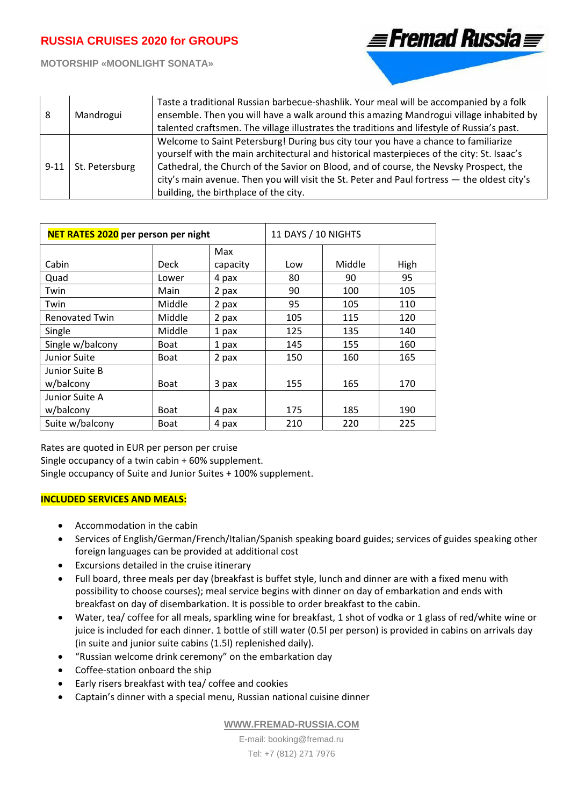

**MOTORSHIP «MOONLIGHT SONATA»** 

| 8        | Mandrogui      | Taste a traditional Russian barbecue-shashlik. Your meal will be accompanied by a folk<br>ensemble. Then you will have a walk around this amazing Mandrogui village inhabited by<br>talented craftsmen. The village illustrates the traditions and lifestyle of Russia's past.                                                                                                                                   |
|----------|----------------|------------------------------------------------------------------------------------------------------------------------------------------------------------------------------------------------------------------------------------------------------------------------------------------------------------------------------------------------------------------------------------------------------------------|
| $9 - 11$ | St. Petersburg | Welcome to Saint Petersburg! During bus city tour you have a chance to familiarize<br>yourself with the main architectural and historical masterpieces of the city: St. Isaac's<br>Cathedral, the Church of the Savior on Blood, and of course, the Nevsky Prospect, the<br>city's main avenue. Then you will visit the St. Peter and Paul fortress - the oldest city's<br>building, the birthplace of the city. |

| NET RATES 2020 per person per night |             |          | 11 DAYS / 10 NIGHTS |        |      |
|-------------------------------------|-------------|----------|---------------------|--------|------|
|                                     |             | Max      |                     |        |      |
| Cabin                               | Deck        | capacity | Low                 | Middle | High |
| Quad                                | Lower       | 4 pax    | 80                  | 90     | 95   |
| Twin                                | Main        | 2 pax    | 90                  | 100    | 105  |
| Twin                                | Middle      | 2 pax    | 95                  | 105    | 110  |
| <b>Renovated Twin</b>               | Middle      | 2 pax    | 105                 | 115    | 120  |
| Single                              | Middle      | 1 pax    | 125                 | 135    | 140  |
| Single w/balcony                    | <b>Boat</b> | 1 pax    | 145                 | 155    | 160  |
| Junior Suite                        | <b>Boat</b> | 2 pax    | 150                 | 160    | 165  |
| Junior Suite B                      |             |          |                     |        |      |
| w/balcony                           | <b>Boat</b> | 3 pax    | 155                 | 165    | 170  |
| Junior Suite A                      |             |          |                     |        |      |
| w/balcony                           | <b>Boat</b> | 4 pax    | 175                 | 185    | 190  |
| Suite w/balcony                     | <b>Boat</b> | 4 pax    | 210                 | 220    | 225  |

Rates are quoted in EUR per person per cruise Single occupancy of a twin cabin + 60% supplement. Single occupancy of Suite and Junior Suites + 100% supplement.

## **INCLUDED SERVICES AND MEALS:**

- Accommodation in the cabin
- Services of English/German/French/Italian/Spanish speaking board guides; services of guides speaking other foreign languages can be provided at additional cost
- Excursions detailed in the cruise itinerary
- Full board, three meals per day (breakfast is buffet style, lunch and dinner are with a fixed menu with possibility to choose courses); meal service begins with dinner on day of embarkation and ends with breakfast on day of disembarkation. It is possible to order breakfast to the cabin.
- Water, tea/ coffee for all meals, sparkling wine for breakfast, 1 shot of vodka or 1 glass of red/white wine or juice is included for each dinner. 1 bottle of still water (0.5l per person) is provided in cabins on arrivals day (in suite and junior suite cabins (1.5l) replenished daily).
- "Russian welcome drink ceremony" on the embarkation day
- Coffee-station onboard the ship
- Early risers breakfast with tea/ coffee and cookies
- Captain's dinner with a special menu, Russian national cuisine dinner

**WWW.FREMAD-RUSSIA.COM**

E-mail: booking@fremad.ru Tel: +7 (812) 271 7976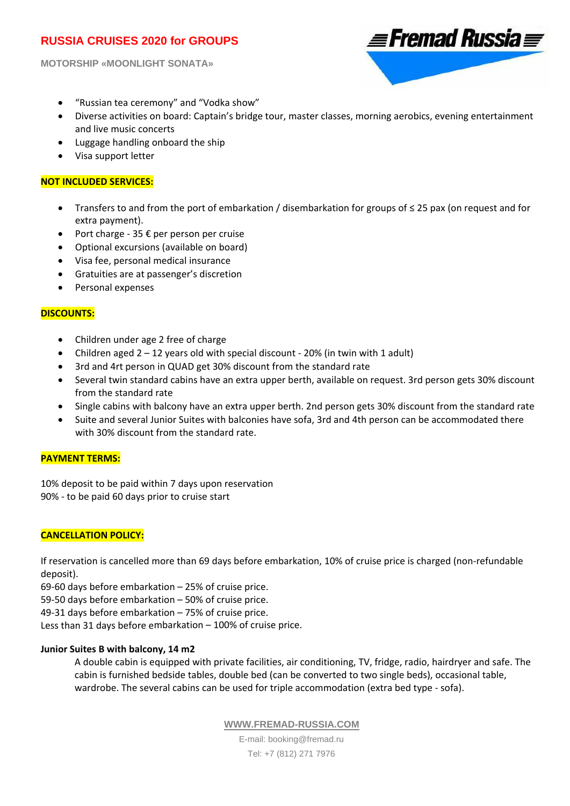**MOTORSHIP «MOONLIGHT SONATA»** 



- "Russian tea ceremony" and "Vodka show"
- Diverse activities on board: Captain's bridge tour, master classes, morning aerobics, evening entertainment and live music concerts
- Luggage handling onboard the ship
- Visa support letter

### **NOT INCLUDED SERVICES:**

- Transfers to and from the port of embarkation / disembarkation for groups of ≤ 25 pax (on request and for extra payment).
- Port charge 35 € per person per cruise
- Optional excursions (available on board)
- Visa fee, personal medical insurance
- Gratuities are at passenger's discretion
- Personal expenses

## **DISCOUNTS:**

- Children under age 2 free of charge
- Children aged  $2 12$  years old with special discount 20% (in twin with 1 adult)
- 3rd and 4rt person in QUAD get 30% discount from the standard rate
- Several twin standard cabins have an extra upper berth, available on request. 3rd person gets 30% discount from the standard rate
- Single cabins with balcony have an extra upper berth. 2nd person gets 30% discount from the standard rate
- Suite and several Junior Suites with balconies have sofa, 3rd and 4th person can be accommodated there with 30% discount from the standard rate.

#### **PAYMENT TERMS:**

10% deposit to be paid within 7 days upon reservation 90% ‐ to be paid 60 days prior to cruise start

## **CANCELLATION POLICY:**

If reservation is cancelled more than 69 days before embarkation, 10% of cruise price is charged (non‐refundable deposit).

69‐60 days before embarkation – 25% of cruise price.

59‐50 days before embarkation – 50% of cruise price.

49‐31 days before embarkation – 75% of cruise price.

Less than 31 days before embarkation – 100% of cruise price.

## **Junior Suites B with balcony, 14 m2**

A double cabin is equipped with private facilities, air conditioning, TV, fridge, radio, hairdryer and safe. The cabin is furnished bedside tables, double bed (can be converted to two single beds), occasional table, wardrobe. The several cabins can be used for triple accommodation (extra bed type - sofa).

**WWW.FREMAD-RUSSIA.COM**

E-mail: booking@fremad.ru Tel: +7 (812) 271 7976